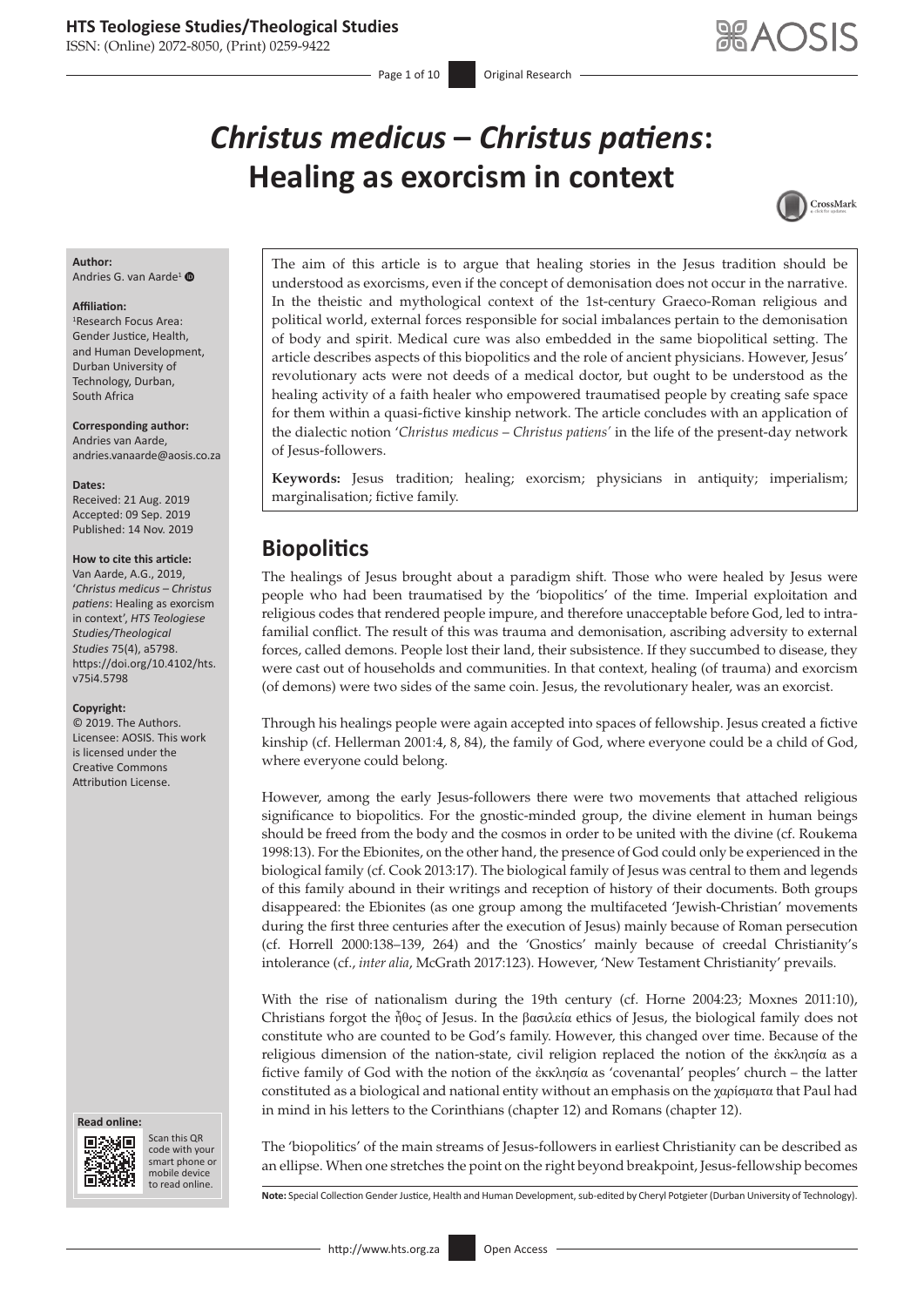ISSN: (Online) 2072-8050, (Print) 0259-9422

# *Christus medicus* **–** *Christus patiens***: Healing as exorcism in context**



#### **Author:**

Andries G. van Aarde<sup>[1](https://orcid.org/0000-0002-3998-2190)</sup>

#### **Affiliation:**

1 Research Focus Area: Gender Justice, Health, and Human Development, Durban University of Technology, Durban, South Africa

**Corresponding author:** Andries van Aarde, [andries.vanaarde@aosis.co.za](mailto:andries.vanaarde@aosis.co.za)

#### **Dates:**

Received: 21 Aug. 2019 Accepted: 09 Sep. 2019 Published: 14 Nov. 2019

#### **How to cite this article:**

Van Aarde, A.G., 2019, '*Christus medicus – Christus patiens*: Healing as exorcism in context', *HTS Teologiese Studies/Theological Studies* 75(4), a5798. [https://doi.org/10.4102/hts.](https://doi.org/10.4102/hts.v75i4.5798) [v75i4.5798](https://doi.org/10.4102/hts.v75i4.5798)

#### **Copyright:**

© 2019. The Authors. Licensee: AOSIS. This work is licensed under the Creative Commons Attribution License.





Scan this QR code with your Scan this QR<br>code with your<br>smart phone or<br>mobile device mobile device to read online. to read online.

The aim of this article is to argue that healing stories in the Jesus tradition should be understood as exorcisms, even if the concept of demonisation does not occur in the narrative. In the theistic and mythological context of the 1st-century Graeco-Roman religious and political world, external forces responsible for social imbalances pertain to the demonisation of body and spirit. Medical cure was also embedded in the same biopolitical setting. The article describes aspects of this biopolitics and the role of ancient physicians. However, Jesus' revolutionary acts were not deeds of a medical doctor, but ought to be understood as the healing activity of a faith healer who empowered traumatised people by creating safe space for them within a quasi-fictive kinship network. The article concludes with an application of the dialectic notion '*Christus medicus* – *Christus patiens'* in the life of the present-day network of Jesus-followers.

**Keywords:** Jesus tradition; healing; exorcism; physicians in antiquity; imperialism; marginalisation; fictive family.

# **Biopolitics**

The healings of Jesus brought about a paradigm shift. Those who were healed by Jesus were people who had been traumatised by the 'biopolitics' of the time. Imperial exploitation and religious codes that rendered people impure, and therefore unacceptable before God, led to intrafamilial conflict. The result of this was trauma and demonisation, ascribing adversity to external forces, called demons. People lost their land, their subsistence. If they succumbed to disease, they were cast out of households and communities. In that context, healing (of trauma) and exorcism (of demons) were two sides of the same coin. Jesus, the revolutionary healer, was an exorcist.

Through his healings people were again accepted into spaces of fellowship. Jesus created a fictive kinship (cf. Hellerman 2001:4, 8, 84), the family of God, where everyone could be a child of God, where everyone could belong.

However, among the early Jesus-followers there were two movements that attached religious significance to biopolitics. For the gnostic-minded group, the divine element in human beings should be freed from the body and the cosmos in order to be united with the divine (cf. Roukema 1998:13). For the Ebionites, on the other hand, the presence of God could only be experienced in the biological family (cf. Cook 2013:17). The biological family of Jesus was central to them and legends of this family abound in their writings and reception of history of their documents. Both groups disappeared: the Ebionites (as one group among the multifaceted 'Jewish-Christian' movements during the first three centuries after the execution of Jesus) mainly because of Roman persecution (cf. Horrell 2000:138–139, 264) and the 'Gnostics' mainly because of creedal Christianity's intolerance (cf., *inter alia*, McGrath 2017:123). However, 'New Testament Christianity' prevails.

With the rise of nationalism during the 19th century (cf. Horne 2004:23; Moxnes 2011:10), Christians forgot the ἦθος of Jesus. In the βασιλεία ethics of Jesus, the biological family does not constitute who are counted to be God's family. However, this changed over time. Because of the religious dimension of the nation-state, civil religion replaced the notion of the ἐκκλησία as a fictive family of God with the notion of the ἐκκλησία as 'covenantal' peoples' church – the latter constituted as a biological and national entity without an emphasis on the χαρίσματα that Paul had in mind in his letters to the Corinthians (chapter 12) and Romans (chapter 12).

The 'biopolitics' of the main streams of Jesus-followers in earliest Christianity can be described as an ellipse. When one stretches the point on the right beyond breakpoint, Jesus-fellowship becomes

**Note:** Special Collection Gender Justice, Health and Human Development, sub-edited by Cheryl Potgieter (Durban University of Technology).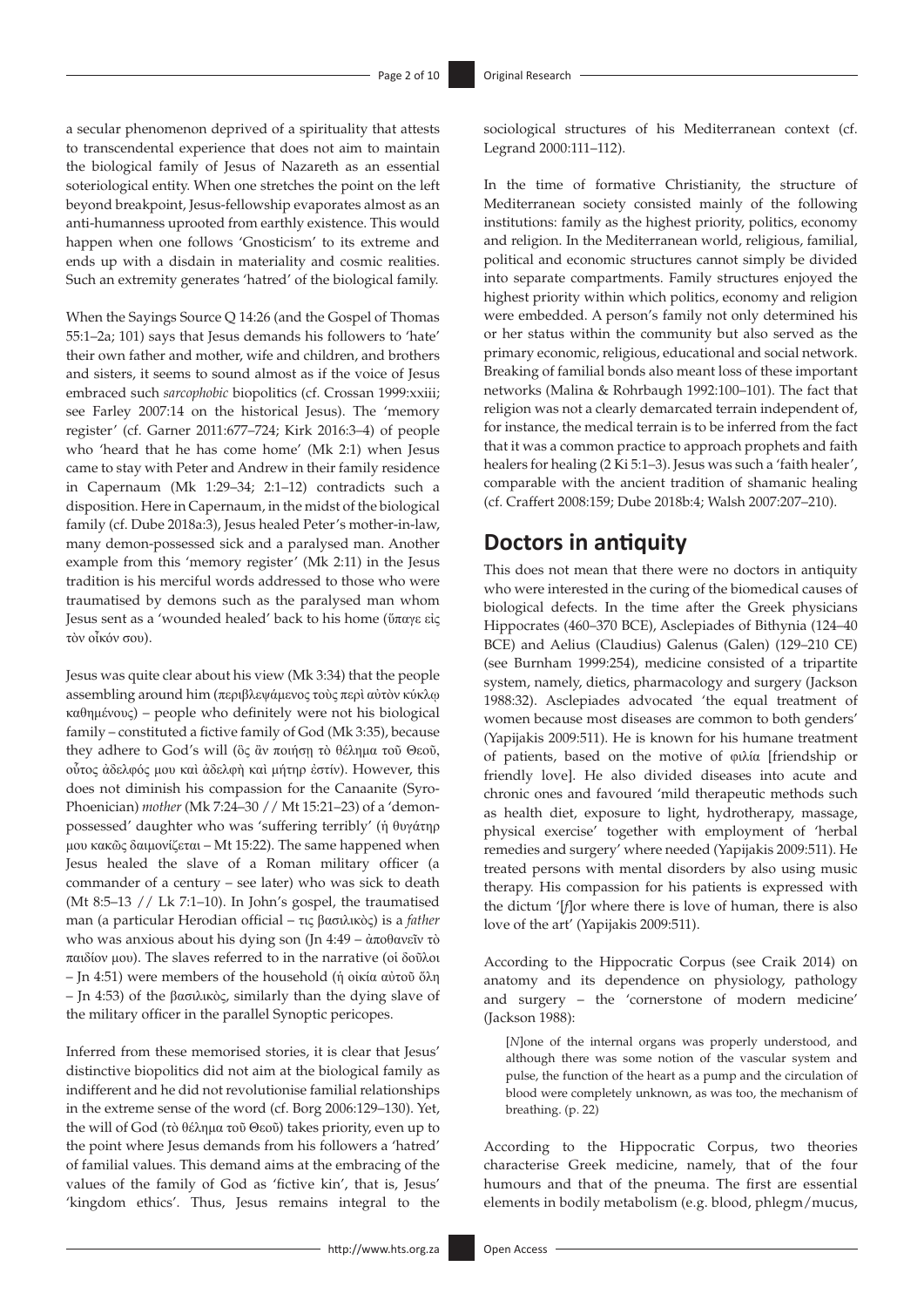a secular phenomenon deprived of a spirituality that attests to transcendental experience that does not aim to maintain the biological family of Jesus of Nazareth as an essential soteriological entity. When one stretches the point on the left beyond breakpoint, Jesus-fellowship evaporates almost as an anti-humanness uprooted from earthly existence. This would happen when one follows 'Gnosticism' to its extreme and ends up with a disdain in materiality and cosmic realities. Such an extremity generates 'hatred' of the biological family.

When the Sayings Source Q 14:26 (and the Gospel of Thomas 55:1–2a; 101) says that Jesus demands his followers to 'hate' their own father and mother, wife and children, and brothers and sisters, it seems to sound almost as if the voice of Jesus embraced such *sarcophobic* biopolitics (cf. Crossan 1999:xxiii; see Farley 2007:14 on the historical Jesus). The 'memory register' (cf. Garner 2011:677–724; Kirk 2016:3–4) of people who 'heard that he has come home' (Mk 2:1) when Jesus came to stay with Peter and Andrew in their family residence in Capernaum (Mk 1:29–34; 2:1–12) contradicts such a disposition. Here in Capernaum, in the midst of the biological family (cf. Dube 2018a:3), Jesus healed Peter's mother-in-law, many demon-possessed sick and a paralysed man. Another example from this 'memory register' (Mk 2:11) in the Jesus tradition is his merciful words addressed to those who were traumatised by demons such as the paralysed man whom Jesus sent as a 'wounded healed' back to his home (ὕπαγε εἰς τὸν οἶκόν σου).

Jesus was quite clear about his view (Mk 3:34) that the people assembling around him (περιβλεψάμενος τοὺς περὶ αὐτὸν κύκλῳ καθημένους) – people who definitely were not his biological family – constituted a fictive family of God (Mk 3:35), because they adhere to God's will (ὃς ἂν ποιήσῃ τὸ θέλημα τοῦ Θεοῦ, οὗτος ἀδελφός μου καὶ ἀδελφὴ καὶ μήτηρ ἐστίν). However, this does not diminish his compassion for the Canaanite (Syro-Phoenician) *mother* (Mk 7:24–30 // Mt 15:21–23) of a 'demonpossessed' daughter who was 'suffering terribly' (ἡ θυγάτηρ μου κακῶς δαιμονίζεται – Mt 15:22). The same happened when Jesus healed the slave of a Roman military officer (a commander of a century – see later) who was sick to death (Mt 8:5–13 // Lk 7:1–10). In John's gospel, the traumatised man (a particular Herodian official – τις βασιλικὸς) is a *father* who was anxious about his dying son (Jn 4:49 – ἀποθανεῖν τὸ παιδίον μου). The slaves referred to in the narrative (οἱ δοῦλοι – Jn 4:51) were members of the household (ἡ οἰκία αὐτοῦ ὅλη – Jn 4:53) of the βασιλικὸς, similarly than the dying slave of the military officer in the parallel Synoptic pericopes.

Inferred from these memorised stories, it is clear that Jesus' distinctive biopolitics did not aim at the biological family as indifferent and he did not revolutionise familial relationships in the extreme sense of the word (cf. Borg 2006:129–130). Yet, the will of God (τὸ θέλημα τοῦ Θεοῦ) takes priority, even up to the point where Jesus demands from his followers a 'hatred' of familial values. This demand aims at the embracing of the values of the family of God as 'fictive kin', that is, Jesus' 'kingdom ethics'. Thus, Jesus remains integral to the

sociological structures of his Mediterranean context (cf. Legrand 2000:111–112).

In the time of formative Christianity, the structure of Mediterranean society consisted mainly of the following institutions: family as the highest priority, politics, economy and religion. In the Mediterranean world, religious, familial, political and economic structures cannot simply be divided into separate compartments. Family structures enjoyed the highest priority within which politics, economy and religion were embedded. A person's family not only determined his or her status within the community but also served as the primary economic, religious, educational and social network. Breaking of familial bonds also meant loss of these important networks (Malina & Rohrbaugh 1992:100–101). The fact that religion was not a clearly demarcated terrain independent of, for instance, the medical terrain is to be inferred from the fact that it was a common practice to approach prophets and faith healers for healing (2 Ki 5:1-3). Jesus was such a 'faith healer', comparable with the ancient tradition of shamanic healing (cf. Craffert 2008:159; Dube 2018b:4; Walsh 2007:207–210).

# **Doctors in antiquity**

This does not mean that there were no doctors in antiquity who were interested in the curing of the biomedical causes of biological defects. In the time after the Greek physicians Hippocrates (460–370 BCE), Asclepiades of Bithynia (124–40 BCE) and Aelius (Claudius) Galenus (Galen) (129–210 CE) (see Burnham 1999:254), medicine consisted of a tripartite system, namely, dietics, pharmacology and surgery (Jackson 1988:32). Asclepiades advocated 'the equal treatment of women because most diseases are common to both genders' (Yapijakis 2009:511). He is known for his humane treatment of patients, based on the motive of φιλία [friendship or friendly love]. He also divided diseases into acute and chronic ones and favoured 'mild therapeutic methods such as health diet, exposure to light, hydrotherapy, massage, physical exercise' together with employment of 'herbal remedies and surgery' where needed (Yapijakis 2009:511). He treated persons with mental disorders by also using music therapy. His compassion for his patients is expressed with the dictum '[*f*]or where there is love of human, there is also love of the art' (Yapijakis 2009:511).

According to the Hippocratic Corpus (see Craik 2014) on anatomy and its dependence on physiology, pathology and surgery – the 'cornerstone of modern medicine' (Jackson 1988):

[*N*]one of the internal organs was properly understood, and although there was some notion of the vascular system and pulse, the function of the heart as a pump and the circulation of blood were completely unknown, as was too, the mechanism of breathing. (p. 22)

According to the Hippocratic Corpus, two theories characterise Greek medicine, namely, that of the four humours and that of the pneuma. The first are essential elements in bodily metabolism (e.g. blood, phlegm/mucus,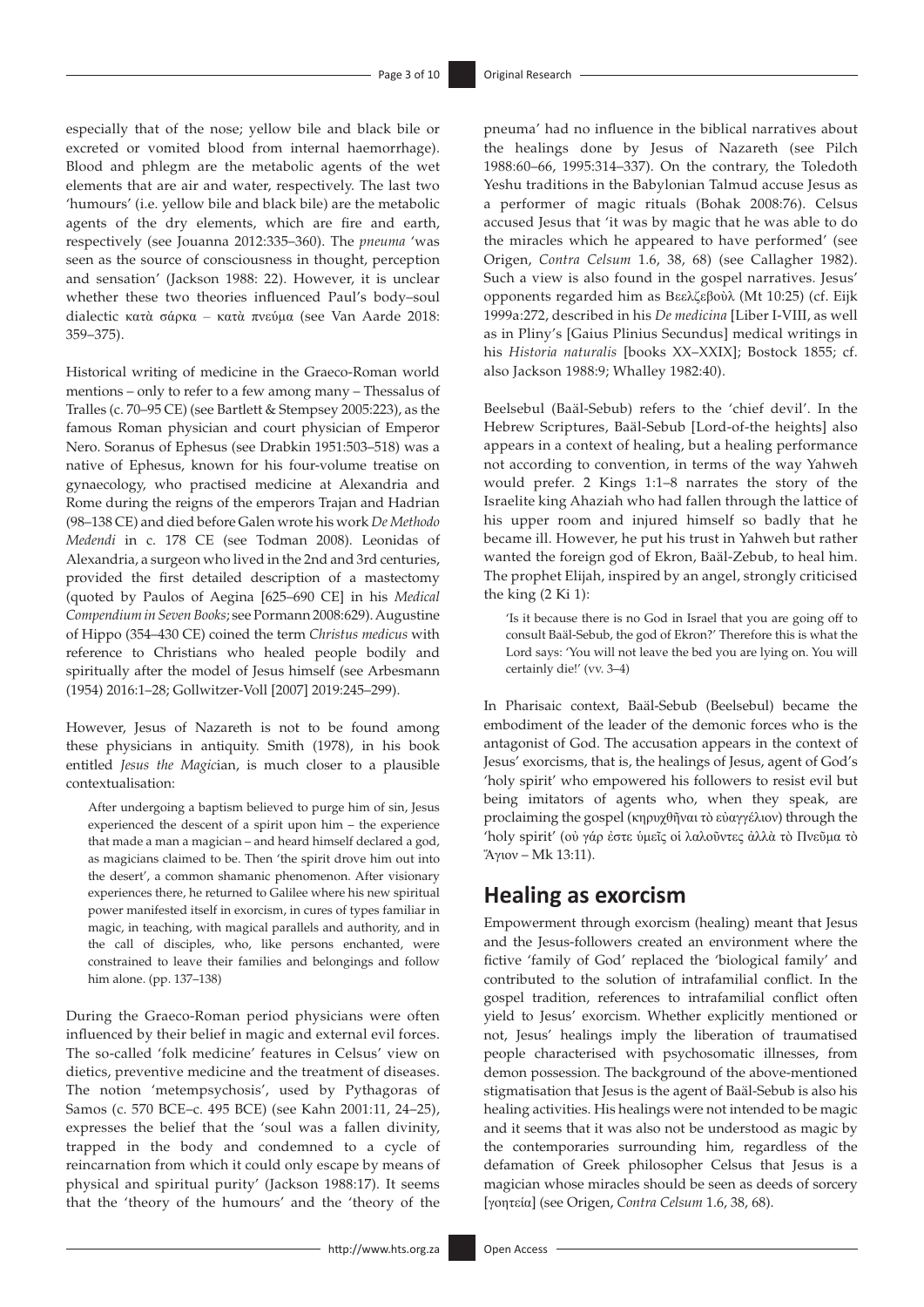especially that of the nose; yellow bile and black bile or excreted or vomited blood from internal haemorrhage). Blood and phlegm are the metabolic agents of the wet elements that are air and water, respectively. The last two 'humours' (i.e. yellow bile and black bile) are the metabolic agents of the dry elements, which are fire and earth, respectively (see Jouanna 2012:335–360). The *pneuma* 'was seen as the source of consciousness in thought, perception and sensation' (Jackson 1988: 22). However, it is unclear whether these two theories influenced Paul's body–soul dialectic κατὰ σάρκα – κατὰ πνεύμα (see Van Aarde 2018: 359–375).

Historical writing of medicine in the Graeco-Roman world mentions – only to refer to a few among many – Thessalus of Tralles (c. 70–95 CE) (see Bartlett & Stempsey 2005:223), as the famous Roman physician and court physician of Emperor Nero. Soranus of Ephesus (see Drabkin 1951:503–518) was a native of Ephesus, known for his four-volume treatise on gynaecology, who practised medicine at Alexandria and Rome during the reigns of the emperors Trajan and Hadrian (98–138 CE) and died before Galen wrote his work *De Methodo Medendi* in c. 178 CE (see Todman 2008). Leonidas of Alexandria, a surgeon who lived in the 2nd and 3rd centuries, provided the first detailed description of a mastectomy (quoted by Paulos of Aegina [625–690 CE] in his *Medical Compendium in Seven Books*; see Pormann 2008:629). Augustine of Hippo (354–430 CE) coined the term *Christus medicus* with reference to Christians who healed people bodily and spiritually after the model of Jesus himself (see Arbesmann (1954) 2016:1–28; Gollwitzer-Voll [2007] 2019:245–299).

However, Jesus of Nazareth is not to be found among these physicians in antiquity. Smith (1978), in his book entitled *Jesus the Magic*ian, is much closer to a plausible contextualisation:

After undergoing a baptism believed to purge him of sin, Jesus experienced the descent of a spirit upon him – the experience that made a man a magician – and heard himself declared a god, as magicians claimed to be. Then 'the spirit drove him out into the desert', a common shamanic phenomenon. After visionary experiences there, he returned to Galilee where his new spiritual power manifested itself in exorcism, in cures of types familiar in magic, in teaching, with magical parallels and authority, and in the call of disciples, who, like persons enchanted, were constrained to leave their families and belongings and follow him alone. (pp. 137–138)

During the Graeco-Roman period physicians were often influenced by their belief in magic and external evil forces. The so-called 'folk medicine' features in Celsus' view on dietics, preventive medicine and the treatment of diseases. The notion 'metempsychosis', used by Pythagoras of Samos (c. 570 BCE–c. 495 BCE) (see Kahn 2001:11, 24–25), expresses the belief that the 'soul was a fallen divinity, trapped in the body and condemned to a cycle of reincarnation from which it could only escape by means of physical and spiritual purity' (Jackson 1988:17). It seems that the 'theory of the humours' and the 'theory of the pneuma' had no influence in the biblical narratives about the healings done by Jesus of Nazareth (see Pilch 1988:60–66, 1995:314–337). On the contrary, the Toledoth Yeshu traditions in the Babylonian Talmud accuse Jesus as a performer of magic rituals (Bohak 2008:76). Celsus accused Jesus that 'it was by magic that he was able to do the miracles which he appeared to have performed' (see Origen, *Contra Celsum* 1.6, 38, 68) (see Callagher 1982). Such a view is also found in the gospel narratives. Jesus' opponents regarded him as Βεελζεβοὺλ (Mt 10:25) (cf. Eijk 1999a:272, described in his *De medicina* [Liber I-VIII, as well as in Pliny's [Gaius Plinius Secundus] medical writings in his *Historia naturalis* [books XX–XXIX]; Bostock 1855; cf. also Jackson 1988:9; Whalley 1982:40).

Beelsebul (Baäl-Sebub) refers to the 'chief devil'. In the Hebrew Scriptures, Baäl-Sebub [Lord-of-the heights] also appears in a context of healing, but a healing performance not according to convention, in terms of the way Yahweh would prefer. 2 Kings 1:1–8 narrates the story of the Israelite king Ahaziah who had fallen through the lattice of his upper room and injured himself so badly that he became ill. However, he put his trust in Yahweh but rather wanted the foreign god of Ekron, Baäl-Zebub, to heal him. The prophet Elijah, inspired by an angel, strongly criticised the king (2 Ki 1):

'Is it because there is no God in Israel that you are going off to consult Baäl-Sebub, the god of Ekron?' Therefore this is what the Lord says: 'You will not leave the bed you are lying on. You will certainly die!' (vv. 3–4)

In Pharisaic context, Baäl-Sebub (Beelsebul) became the embodiment of the leader of the demonic forces who is the antagonist of God. The accusation appears in the context of Jesus' exorcisms, that is, the healings of Jesus, agent of God's 'holy spirit' who empowered his followers to resist evil but being imitators of agents who, when they speak, are proclaiming the gospel (κηρυχθῆναι τὸ εὐαγγέλιον) through the 'holy spirit' (οὐ γάρ ἐστε ὑμεῖς οἱ λαλοῦντες ἀλλὰ τὸ Πνεῦμα τὸ Ἅγιον – Mk 13:11).

## **Healing as exorcism**

Empowerment through exorcism (healing) meant that Jesus and the Jesus-followers created an environment where the fictive 'family of God' replaced the 'biological family' and contributed to the solution of intrafamilial conflict. In the gospel tradition, references to intrafamilial conflict often yield to Jesus' exorcism. Whether explicitly mentioned or not, Jesus' healings imply the liberation of traumatised people characterised with psychosomatic illnesses, from demon possession. The background of the above-mentioned stigmatisation that Jesus is the agent of Baäl-Sebub is also his healing activities. His healings were not intended to be magic and it seems that it was also not be understood as magic by the contemporaries surrounding him, regardless of the defamation of Greek philosopher Celsus that Jesus is a magician whose miracles should be seen as deeds of sorcery [γοητεία] (see Origen, *Contra Celsum* 1.6, 38, 68).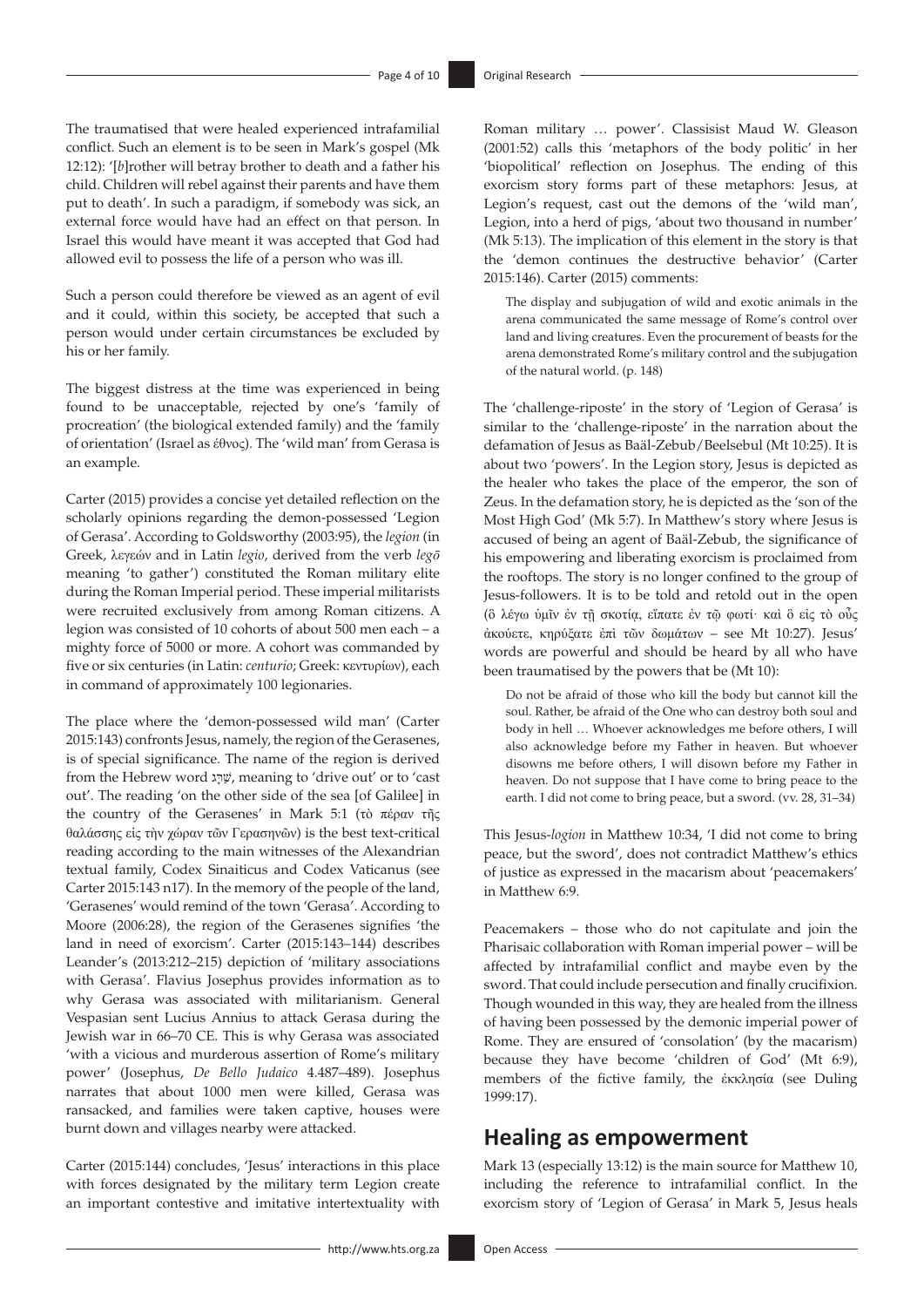The traumatised that were healed experienced intrafamilial conflict. Such an element is to be seen in Mark's gospel (Mk 12:12): '[*b*]rother will betray brother to death and a father his child. Children will rebel against their parents and have them put to death'. In such a paradigm, if somebody was sick, an external force would have had an effect on that person. In Israel this would have meant it was accepted that God had allowed evil to possess the life of a person who was ill.

Such a person could therefore be viewed as an agent of evil and it could, within this society, be accepted that such a person would under certain circumstances be excluded by his or her family.

The biggest distress at the time was experienced in being found to be unacceptable, rejected by one's 'family of procreation' (the biological extended family) and the 'family of orientation' (Israel as έθνος). The 'wild man' from Gerasa is an example.

Carter (2015) provides a concise yet detailed reflection on the scholarly opinions regarding the demon-possessed 'Legion of Gerasa'. According to Goldsworthy (2003:95), the *legion* (in Greek, λεγεών and in Latin *legio*, derived from the verb *legō* meaning 'to gather') constituted the Roman military elite during the Roman Imperial period. These imperial militarists were recruited exclusively from among Roman citizens. A legion was consisted of 10 cohorts of about 500 men each – a mighty force of 5000 or more. A cohort was commanded by five or six centuries (in Latin: *centurio*; Greek: κεντυρίων), each in command of approximately 100 legionaries.

The place where the 'demon-possessed wild man' (Carter 2015:143) confronts Jesus, namely, the region of the Gerasenes, is of special significance. The name of the region is derived from the Hebrew word גָּרַשׁ, meaning to 'drive out' or to 'cast out'. The reading 'on the other side of the sea [of Galilee] in the country of the Gerasenes' in Mark 5:1 (τὸ πέραν τῆς θαλάσσης εἰς τὴν χώραν τῶν Γερασηνῶν) is the best text-critical reading according to the main witnesses of the Alexandrian textual family, Codex Sinaiticus and Codex Vaticanus (see Carter 2015:143 n17). In the memory of the people of the land, 'Gerasenes' would remind of the town 'Gerasa'. According to Moore (2006:28), the region of the Gerasenes signifies 'the land in need of exorcism'. Carter (2015:143–144) describes Leander's (2013:212–215) depiction of 'military associations with Gerasa'. Flavius Josephus provides information as to why Gerasa was associated with militarianism. General Vespasian sent Lucius Annius to attack Gerasa during the Jewish war in 66–70 CE. This is why Gerasa was associated 'with a vicious and murderous assertion of Rome's military power' (Josephus, *De Bello Judaico* 4.487–489). Josephus narrates that about 1000 men were killed, Gerasa was ransacked, and families were taken captive, houses were burnt down and villages nearby were attacked.

Carter (2015:144) concludes, 'Jesus' interactions in this place with forces designated by the military term Legion create an important contestive and imitative intertextuality with

Roman military … power'. Classisist Maud W. Gleason (2001:52) calls this 'metaphors of the body politic' in her 'biopolitical' reflection on Josephus. The ending of this exorcism story forms part of these metaphors: Jesus, at Legion's request, cast out the demons of the 'wild man', Legion, into a herd of pigs, 'about two thousand in number' (Mk 5:13). The implication of this element in the story is that the 'demon continues the destructive behavior' (Carter 2015:146). Carter (2015) comments:

The display and subjugation of wild and exotic animals in the arena communicated the same message of Rome's control over land and living creatures. Even the procurement of beasts for the arena demonstrated Rome's military control and the subjugation of the natural world. (p. 148)

The 'challenge-riposte' in the story of 'Legion of Gerasa' is similar to the 'challenge-riposte' in the narration about the defamation of Jesus as Baäl-Zebub/Beelsebul (Mt 10:25). It is about two 'powers'. In the Legion story, Jesus is depicted as the healer who takes the place of the emperor, the son of Zeus. In the defamation story, he is depicted as the 'son of the Most High God' (Mk 5:7). In Matthew's story where Jesus is accused of being an agent of Baäl-Zebub, the significance of his empowering and liberating exorcism is proclaimed from the rooftops. The story is no longer confined to the group of Jesus-followers. It is to be told and retold out in the open (ὃ λέγω ὑμῖν ἐν τῇ σκοτίᾳ, εἴπατε ἐν τῷ φωτί· καὶ ὃ εἰς τὸ οὖς ἀκούετε, κηρύξατε ἐπὶ τῶν δωμάτων – see Mt 10:27). Jesus' words are powerful and should be heard by all who have been traumatised by the powers that be (Mt 10):

Do not be afraid of those who kill the body but cannot kill the soul. Rather, be afraid of the One who can destroy both soul and body in hell … Whoever acknowledges me before others, I will also acknowledge before my Father in heaven. But whoever disowns me before others, I will disown before my Father in heaven. Do not suppose that I have come to bring peace to the earth. I did not come to bring peace, but a sword. (vv. 28, 31–34)

This Jesus-*logion* in Matthew 10:34, 'I did not come to bring peace, but the sword', does not contradict Matthew's ethics of justice as expressed in the macarism about 'peacemakers' in Matthew 6:9.

Peacemakers – those who do not capitulate and join the Pharisaic collaboration with Roman imperial power – will be affected by intrafamilial conflict and maybe even by the sword. That could include persecution and finally crucifixion. Though wounded in this way, they are healed from the illness of having been possessed by the demonic imperial power of Rome. They are ensured of 'consolation' (by the macarism) because they have become 'children of God' (Mt 6:9), members of the fictive family, the ἐκκλησία (see Duling 1999:17).

### **Healing as empowerment**

Mark 13 (especially 13:12) is the main source for Matthew 10, including the reference to intrafamilial conflict. In the exorcism story of 'Legion of Gerasa' in Mark 5, Jesus heals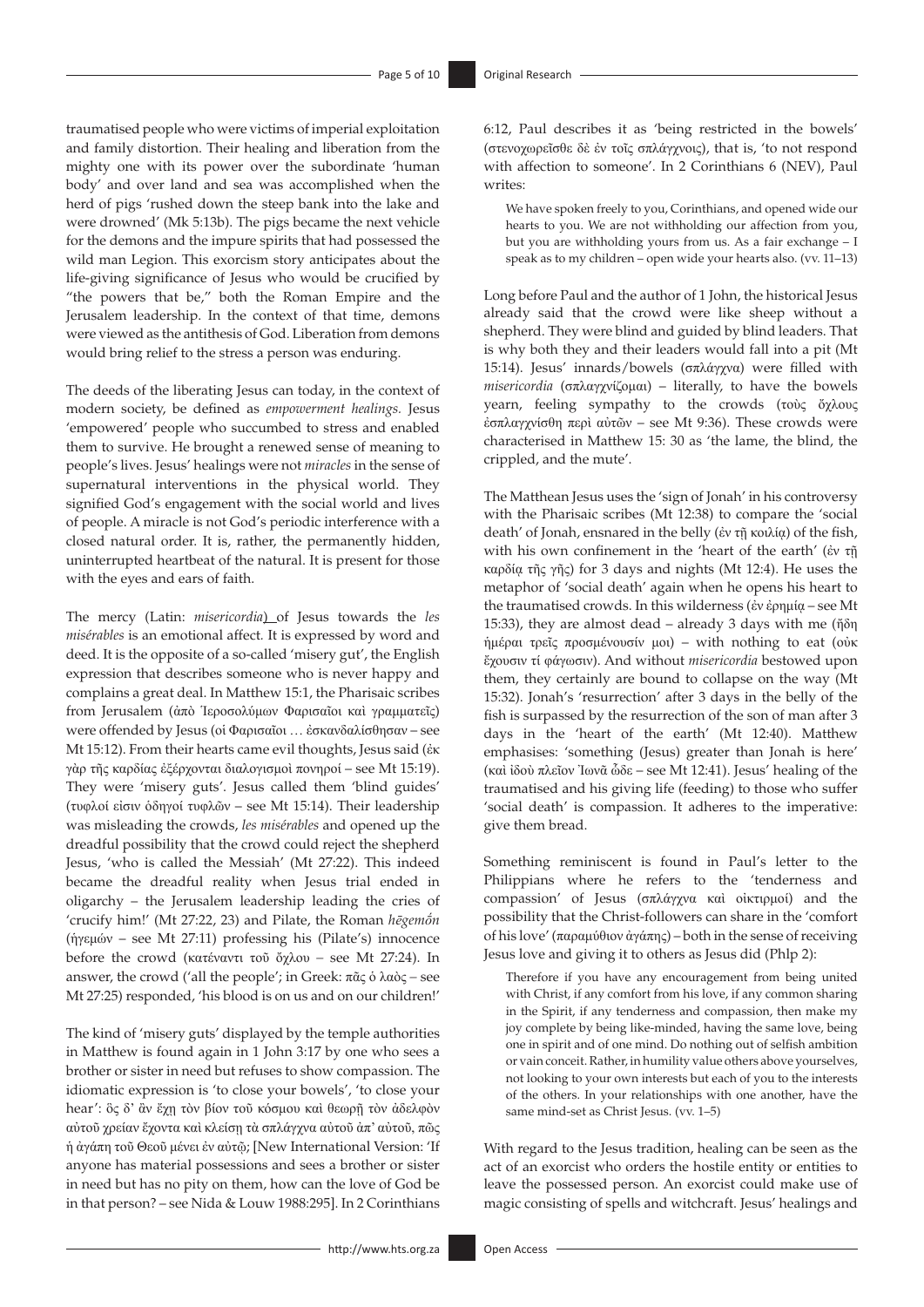traumatised people who were victims of imperial exploitation and family distortion. Their healing and liberation from the mighty one with its power over the subordinate 'human body' and over land and sea was accomplished when the herd of pigs 'rushed down the steep bank into the lake and were drowned' (Mk 5:13b). The pigs became the next vehicle for the demons and the impure spirits that had possessed the wild man Legion. This exorcism story anticipates about the life-giving significance of Jesus who would be crucified by "the powers that be," both the Roman Empire and the Jerusalem leadership. In the context of that time, demons were viewed as the antithesis of God. Liberation from demons would bring relief to the stress a person was enduring.

The deeds of the liberating Jesus can today, in the context of modern society, be defined as *empowerment healings.* Jesus 'empowered' people who succumbed to stress and enabled them to survive. He brought a renewed sense of meaning to people's lives. Jesus' healings were not *miracles* in the sense of supernatural interventions in the physical world. They signified God's engagement with the social world and lives of people. A miracle is not God's periodic interference with a closed natural order. It is, rather, the permanently hidden, uninterrupted heartbeat of the natural. It is present for those with the eyes and ears of faith.

The mercy (Latin: *misericordia*) of Jesus towards the *les misérables* is an emotional affect*.* It is expressed by word and deed. It is the opposite of a so-called 'misery gut', the English expression that describes someone who is never happy and complains a great deal. In Matthew 15:1, the Pharisaic scribes from Jerusalem (ἀπὸ Ἱεροσολύμων Φαρισαῖοι καὶ γραμματεῖς) were offended by Jesus (οἱ Φαρισαῖοι … ἐσκανδαλίσθησαν – see Mt 15:12). From their hearts came evil thoughts, Jesus said (ἐκ γὰρ τῆς καρδίας ἐξέρχονται διαλογισμοὶ πονηροί – see Mt 15:19). They were 'misery guts'. Jesus called them 'blind guides' (τυφλοί εἰσιν ὁδηγοί τυφλῶν – see Mt 15:14). Their leadership was misleading the crowds, *les misérables* and opened up the dreadful possibility that the crowd could reject the shepherd Jesus, 'who is called the Messiah' (Mt 27:22). This indeed became the dreadful reality when Jesus trial ended in oligarchy – the Jerusalem leadership leading the cries of 'crucify him!' (Mt 27:22, 23) and Pilate, the Roman *hēgemṓn* (ἡγεμών – see Mt 27:11) professing his (Pilate's) innocence before the crowd (κατέναντι τοῦ ὄχλου *–* see Mt 27:24). In answer, the crowd ('all the people'; in Greek: πᾶς ὁ λαὸς *–* see Mt 27:25) responded, 'his blood is on us and on our children!'

The kind of 'misery guts' displayed by the temple authorities in Matthew is found again in 1 John 3:17 by one who sees a brother or sister in need but refuses to show compassion. The idiomatic expression is 'to close your bowels', 'to close your hear': ὃς δ' ἂν ἔχῃ τὸν βίον τοῦ κόσμου καὶ θεωρῇ τὸν ἀδελφὸν αὐτοῦ χρείαν ἔχοντα καὶ κλείσῃ τὰ σπλάγχνα αὐτοῦ ἀπ' αὐτοῦ, πῶς ἡ ἀγάπη τοῦ Θεοῦ μένει ἐν αὐτῷ; [New International Version: 'If anyone has material possessions and sees a brother or sister in need but has no pity on them, how can the love of God be in that person? – see Nida & Louw 1988:295]. In 2 Corinthians

6:12, Paul describes it as 'being restricted in the bowels' (στενοχωρεῖσθε δὲ ἐν τοῖς σπλάγχνοις), that is, 'to not respond with affection to someone'. In 2 Corinthians 6 (NEV), Paul writes:

We have spoken freely to you, Corinthians, and opened wide our hearts to you. We are not withholding our affection from you, but you are withholding yours from us. As a fair exchange – I speak as to my children – open wide your hearts also. (vv. 11–13)

Long before Paul and the author of 1 John, the historical Jesus already said that the crowd were like sheep without a shepherd. They were blind and guided by blind leaders. That is why both they and their leaders would fall into a pit (Mt 15:14). Jesus' innards/bowels (σπλάγχνα) were filled with *misericordia* (σπλαγχνίζομαι) – literally, to have the bowels yearn, feeling sympathy to the crowds (τοὺς ὄχλους ἐσπλαγχνίσθη περὶ αὐτῶν – see Mt 9:36). These crowds were characterised in Matthew 15: 30 as 'the lame, the blind, the crippled, and the mute'.

The Matthean Jesus uses the 'sign of Jonah' in his controversy with the Pharisaic scribes (Mt 12:38) to compare the 'social death' of Jonah, ensnared in the belly (ἐν τῇ κοιλίᾳ) of the fish, with his own confinement in the 'heart of the earth' (ἐν τῇ καρδίᾳ τῆς γῆς) for 3 days and nights (Mt 12:4). He uses the metaphor of 'social death' again when he opens his heart to the traumatised crowds. In this wilderness (ἐν ἐρημίᾳ – see Mt 15:33), they are almost dead – already 3 days with me (ἤδη ἡμέραι τρεῖς προσμένουσίν μοι) – with nothing to eat (οὐκ ἔχουσιν τί φάγωσιν). And without *misericordia* bestowed upon them, they certainly are bound to collapse on the way (Mt 15:32). Jonah's 'resurrection' after 3 days in the belly of the fish is surpassed by the resurrection of the son of man after 3 days in the 'heart of the earth' (Mt 12:40). Matthew emphasises: 'something (Jesus) greater than Jonah is here' (καὶ ἰδοὺ πλεῖον Ἰωνᾶ ὧδε – see Mt 12:41). Jesus' healing of the traumatised and his giving life (feeding) to those who suffer 'social death' is compassion. It adheres to the imperative: give them bread.

Something reminiscent is found in Paul's letter to the Philippians where he refers to the 'tenderness and compassion' of Jesus (σπλάγχνα καὶ οἰκτιρμοί) and the possibility that the Christ-followers can share in the 'comfort of his love' (παραμύθιον ἀγάπης) – both in the sense of receiving Jesus love and giving it to others as Jesus did (Phlp 2):

Therefore if you have any encouragement from being united with Christ, if any comfort from his love, if any common sharing in the Spirit, if any tenderness and compassion, then make my joy complete by being like-minded, having the same love, being one in spirit and of one mind. Do nothing out of selfish ambition or vain conceit. Rather, in humility value others above yourselves, not looking to your own interests but each of you to the interests of the others. In your relationships with one another, have the same mind-set as Christ Jesus. (vv. 1–5)

With regard to the Jesus tradition, healing can be seen as the act of an exorcist who orders the hostile entity or entities to leave the possessed person. An exorcist could make use of magic consisting of spells and witchcraft. Jesus' healings and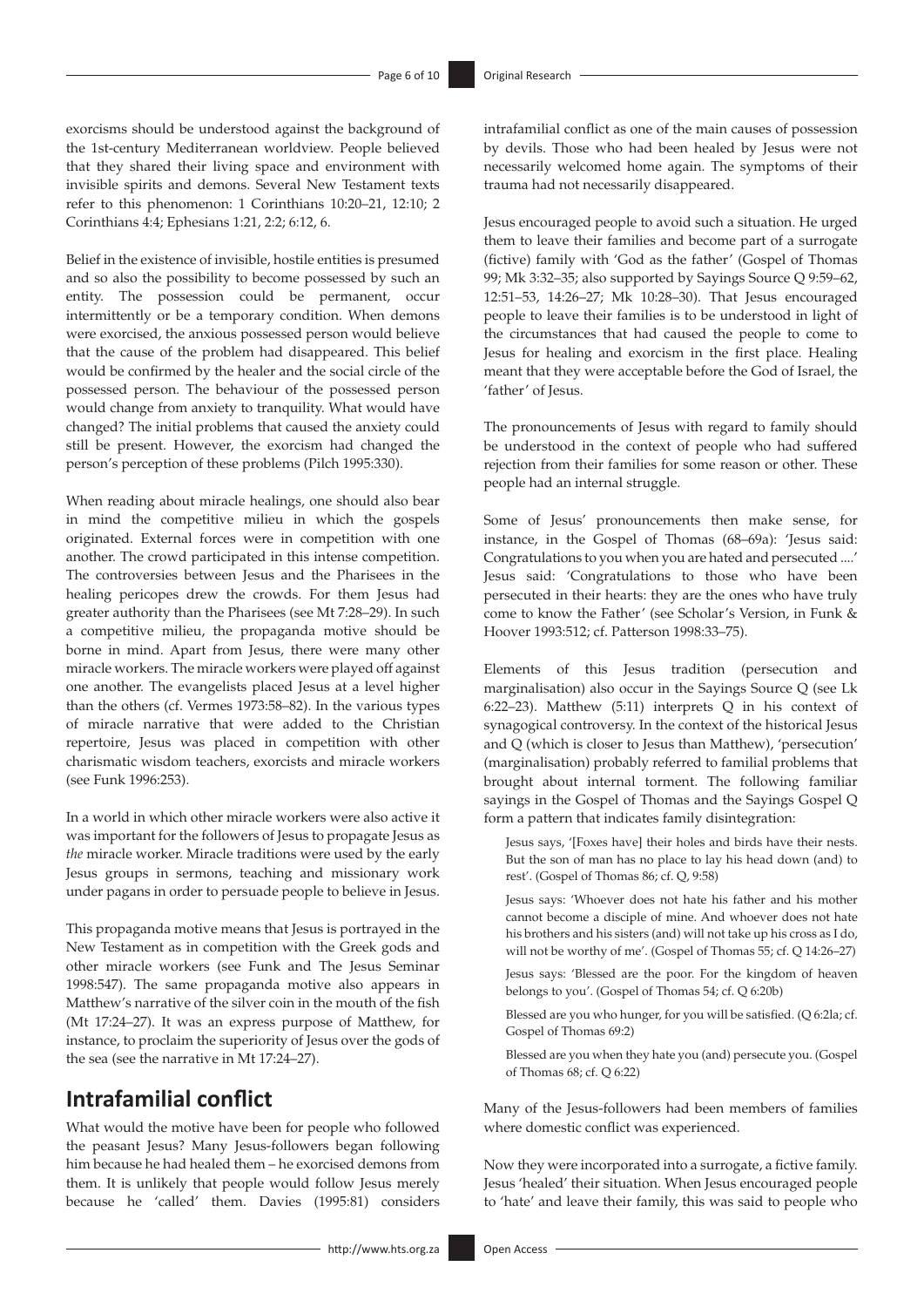exorcisms should be understood against the background of the 1st-century Mediterranean worldview. People believed that they shared their living space and environment with invisible spirits and demons. Several New Testament texts refer to this phenomenon: 1 Corinthians 10:20–21, 12:10; 2 Corinthians 4:4; Ephesians 1:21, 2:2; 6:12, 6.

Belief in the existence of invisible, hostile entities is presumed and so also the possibility to become possessed by such an entity. The possession could be permanent, occur intermittently or be a temporary condition. When demons were exorcised, the anxious possessed person would believe that the cause of the problem had disappeared. This belief would be confirmed by the healer and the social circle of the possessed person. The behaviour of the possessed person would change from anxiety to tranquility. What would have changed? The initial problems that caused the anxiety could still be present. However, the exorcism had changed the person's perception of these problems (Pilch 1995:330).

When reading about miracle healings, one should also bear in mind the competitive milieu in which the gospels originated. External forces were in competition with one another. The crowd participated in this intense competition. The controversies between Jesus and the Pharisees in the healing pericopes drew the crowds. For them Jesus had greater authority than the Pharisees (see Mt 7:28–29). In such a competitive milieu, the propaganda motive should be borne in mind. Apart from Jesus, there were many other miracle workers. The miracle workers were played off against one another. The evangelists placed Jesus at a level higher than the others (cf. Vermes 1973:58–82). In the various types of miracle narrative that were added to the Christian repertoire, Jesus was placed in competition with other charismatic wisdom teachers, exorcists and miracle workers (see Funk 1996:253).

In a world in which other miracle workers were also active it was important for the followers of Jesus to propagate Jesus as *the* miracle worker. Miracle traditions were used by the early Jesus groups in sermons, teaching and missionary work under pagans in order to persuade people to believe in Jesus.

This propaganda motive means that Jesus is portrayed in the New Testament as in competition with the Greek gods and other miracle workers (see Funk and The Jesus Seminar 1998:547). The same propaganda motive also appears in Matthew's narrative of the silver coin in the mouth of the fish (Mt 17:24–27). It was an express purpose of Matthew, for instance, to proclaim the superiority of Jesus over the gods of the sea (see the narrative in Mt 17:24–27).

# **Intrafamilial conflict**

What would the motive have been for people who followed the peasant Jesus? Many Jesus-followers began following him because he had healed them – he exorcised demons from them. It is unlikely that people would follow Jesus merely because he 'called' them. Davies (1995:81) considers

intrafamilial conflict as one of the main causes of possession by devils. Those who had been healed by Jesus were not necessarily welcomed home again. The symptoms of their trauma had not necessarily disappeared.

Jesus encouraged people to avoid such a situation. He urged them to leave their families and become part of a surrogate (fictive) family with 'God as the father' (Gospel of Thomas 99; Mk 3:32–35; also supported by Sayings Source Q 9:59–62, 12:51–53, 14:26–27; Mk 10:28–30). That Jesus encouraged people to leave their families is to be understood in light of the circumstances that had caused the people to come to Jesus for healing and exorcism in the first place. Healing meant that they were acceptable before the God of Israel, the 'father' of Jesus.

The pronouncements of Jesus with regard to family should be understood in the context of people who had suffered rejection from their families for some reason or other. These people had an internal struggle.

Some of Jesus' pronouncements then make sense, for instance, in the Gospel of Thomas (68–69a): 'Jesus said: Congratulations to you when you are hated and persecuted ....' Jesus said: 'Congratulations to those who have been persecuted in their hearts: they are the ones who have truly come to know the Father' (see Scholar's Version, in Funk & Hoover 1993:512; cf. Patterson 1998:33–75).

Elements of this Jesus tradition (persecution and marginalisation) also occur in the Sayings Source Q (see Lk 6:22–23). Matthew (5:11) interprets Q in his context of synagogical controversy. In the context of the historical Jesus and Q (which is closer to Jesus than Matthew), 'persecution' (marginalisation) probably referred to familial problems that brought about internal torment. The following familiar sayings in the Gospel of Thomas and the Sayings Gospel Q form a pattern that indicates family disintegration:

Jesus says, '[Foxes have] their holes and birds have their nests. But the son of man has no place to lay his head down (and) to rest'. (Gospel of Thomas 86; cf. Q, 9:58)

Jesus says: 'Whoever does not hate his father and his mother cannot become a disciple of mine. And whoever does not hate his brothers and his sisters (and) will not take up his cross as I do, will not be worthy of me'. (Gospel of Thomas 55; cf. Q 14:26–27)

Jesus says: 'Blessed are the poor. For the kingdom of heaven belongs to you'. (Gospel of Thomas 54; cf. Q 6:20b)

Blessed are you who hunger, for you will be satisfied. (Q 6:2la; cf. Gospel of Thomas 69:2)

Blessed are you when they hate you (and) persecute you. (Gospel of Thomas 68; cf. Q 6:22)

Many of the Jesus-followers had been members of families where domestic conflict was experienced.

Now they were incorporated into a surrogate, a fictive family. Jesus 'healed' their situation. When Jesus encouraged people to 'hate' and leave their family, this was said to people who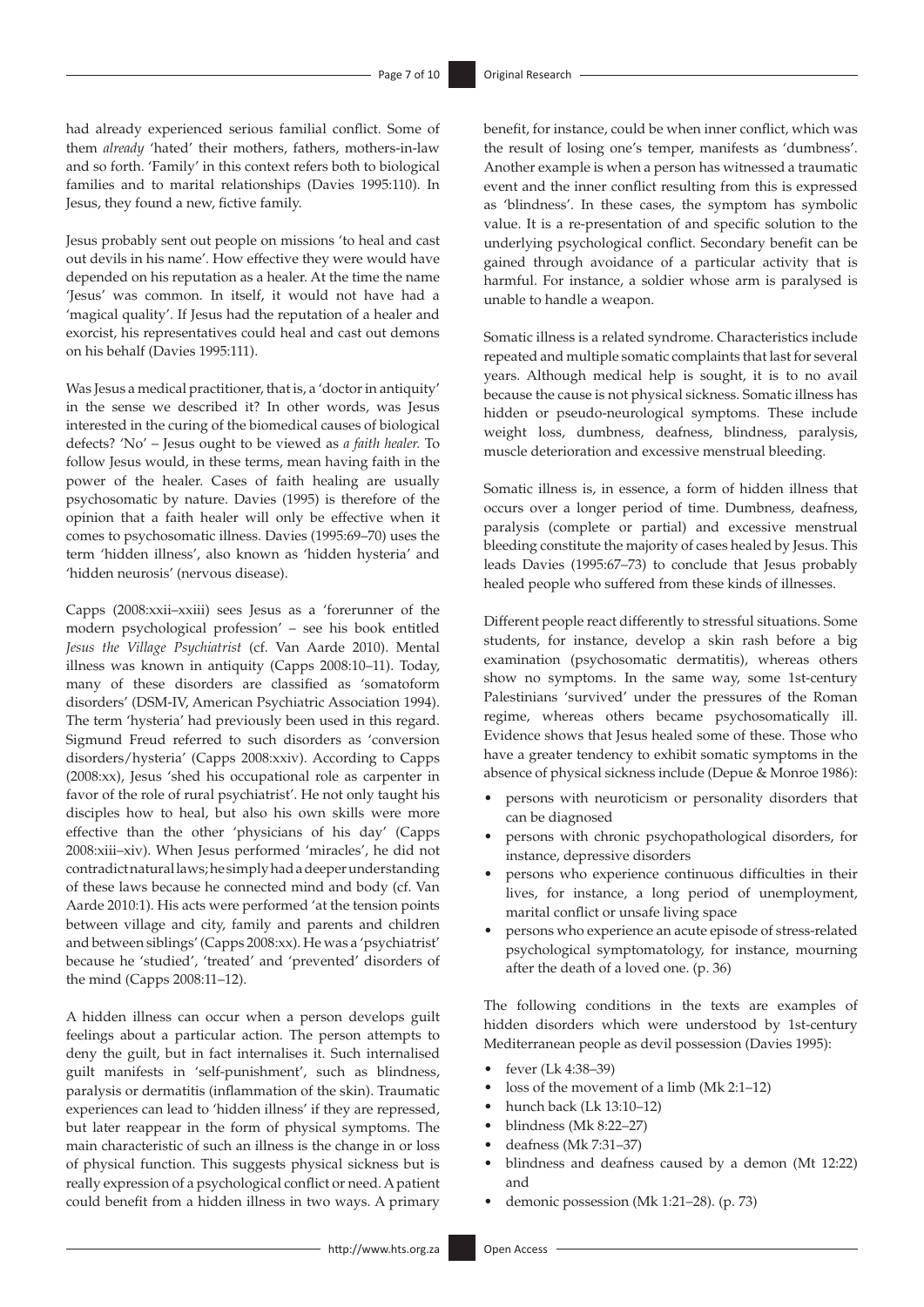had already experienced serious familial conflict. Some of them *already* 'hated' their mothers, fathers, mothers-in-law and so forth. 'Family' in this context refers both to biological families and to marital relationships (Davies 1995:110). In Jesus, they found a new, fictive family.

Jesus probably sent out people on missions 'to heal and cast out devils in his name'. How effective they were would have depended on his reputation as a healer. At the time the name 'Jesus' was common. In itself, it would not have had a 'magical quality'. If Jesus had the reputation of a healer and exorcist, his representatives could heal and cast out demons on his behalf (Davies 1995:111).

Was Jesus a medical practitioner, that is, a 'doctor in antiquity' in the sense we described it? In other words, was Jesus interested in the curing of the biomedical causes of biological defects? 'No' – Jesus ought to be viewed as *a faith healer.* To follow Jesus would, in these terms, mean having faith in the power of the healer. Cases of faith healing are usually psychosomatic by nature. Davies (1995) is therefore of the opinion that a faith healer will only be effective when it comes to psychosomatic illness. Davies (1995:69–70) uses the term 'hidden illness', also known as 'hidden hysteria' and 'hidden neurosis' (nervous disease).

Capps (2008:xxii–xxiii) sees Jesus as a 'forerunner of the modern psychological profession' – see his book entitled *Jesus the Village Psychiatrist* (cf. Van Aarde 2010). Mental illness was known in antiquity (Capps 2008:10–11). Today, many of these disorders are classified as 'somatoform disorders' (DSM-IV, American Psychiatric Association 1994). The term 'hysteria' had previously been used in this regard. Sigmund Freud referred to such disorders as 'conversion disorders/hysteria' (Capps 2008:xxiv). According to Capps (2008:xx), Jesus 'shed his occupational role as carpenter in favor of the role of rural psychiatrist'. He not only taught his disciples how to heal, but also his own skills were more effective than the other 'physicians of his day' (Capps 2008:xiii–xiv). When Jesus performed 'miracles', he did not contradict natural laws; he simply had a deeper understanding of these laws because he connected mind and body (cf. Van Aarde 2010:1). His acts were performed 'at the tension points between village and city, family and parents and children and between siblings' (Capps 2008:xx). He was a 'psychiatrist' because he 'studied', 'treated' and 'prevented' disorders of the mind (Capps 2008:11–12).

A hidden illness can occur when a person develops guilt feelings about a particular action. The person attempts to deny the guilt, but in fact internalises it. Such internalised guilt manifests in 'self-punishment', such as blindness, paralysis or dermatitis (inflammation of the skin). Traumatic experiences can lead to 'hidden illness' if they are repressed, but later reappear in the form of physical symptoms. The main characteristic of such an illness is the change in or loss of physical function. This suggests physical sickness but is really expression of a psychological conflict or need. A patient could benefit from a hidden illness in two ways. A primary

benefit, for instance, could be when inner conflict, which was the result of losing one's temper, manifests as 'dumbness'. Another example is when a person has witnessed a traumatic event and the inner conflict resulting from this is expressed as 'blindness'. In these cases, the symptom has symbolic value. It is a re-presentation of and specific solution to the underlying psychological conflict. Secondary benefit can be gained through avoidance of a particular activity that is harmful. For instance, a soldier whose arm is paralysed is unable to handle a weapon.

Somatic illness is a related syndrome. Characteristics include repeated and multiple somatic complaints that last for several years. Although medical help is sought, it is to no avail because the cause is not physical sickness. Somatic illness has hidden or pseudo-neurological symptoms. These include weight loss, dumbness, deafness, blindness, paralysis, muscle deterioration and excessive menstrual bleeding.

Somatic illness is, in essence, a form of hidden illness that occurs over a longer period of time. Dumbness, deafness, paralysis (complete or partial) and excessive menstrual bleeding constitute the majority of cases healed by Jesus. This leads Davies (1995:67–73) to conclude that Jesus probably healed people who suffered from these kinds of illnesses.

Different people react differently to stressful situations. Some students, for instance, develop a skin rash before a big examination (psychosomatic dermatitis), whereas others show no symptoms. In the same way, some 1st-century Palestinians 'survived' under the pressures of the Roman regime, whereas others became psychosomatically ill. Evidence shows that Jesus healed some of these. Those who have a greater tendency to exhibit somatic symptoms in the absence of physical sickness include (Depue & Monroe 1986):

- persons with neuroticism or personality disorders that can be diagnosed
- persons with chronic psychopathological disorders, for instance, depressive disorders
- persons who experience continuous difficulties in their lives, for instance, a long period of unemployment, marital conflict or unsafe living space
- persons who experience an acute episode of stress-related psychological symptomatology, for instance, mourning after the death of a loved one. (p. 36)

The following conditions in the texts are examples of hidden disorders which were understood by 1st-century Mediterranean people as devil possession (Davies 1995):

- fever (Lk 4:38–39)
- loss of the movement of a limb (Mk 2:1-12)
- hunch back (Lk 13:10–12)
- blindness (Mk 8:22–27)
- deafness (Mk 7:31–37)
- blindness and deafness caused by a demon (Mt 12:22) and
- demonic possession (Mk 1:21–28). (p. 73)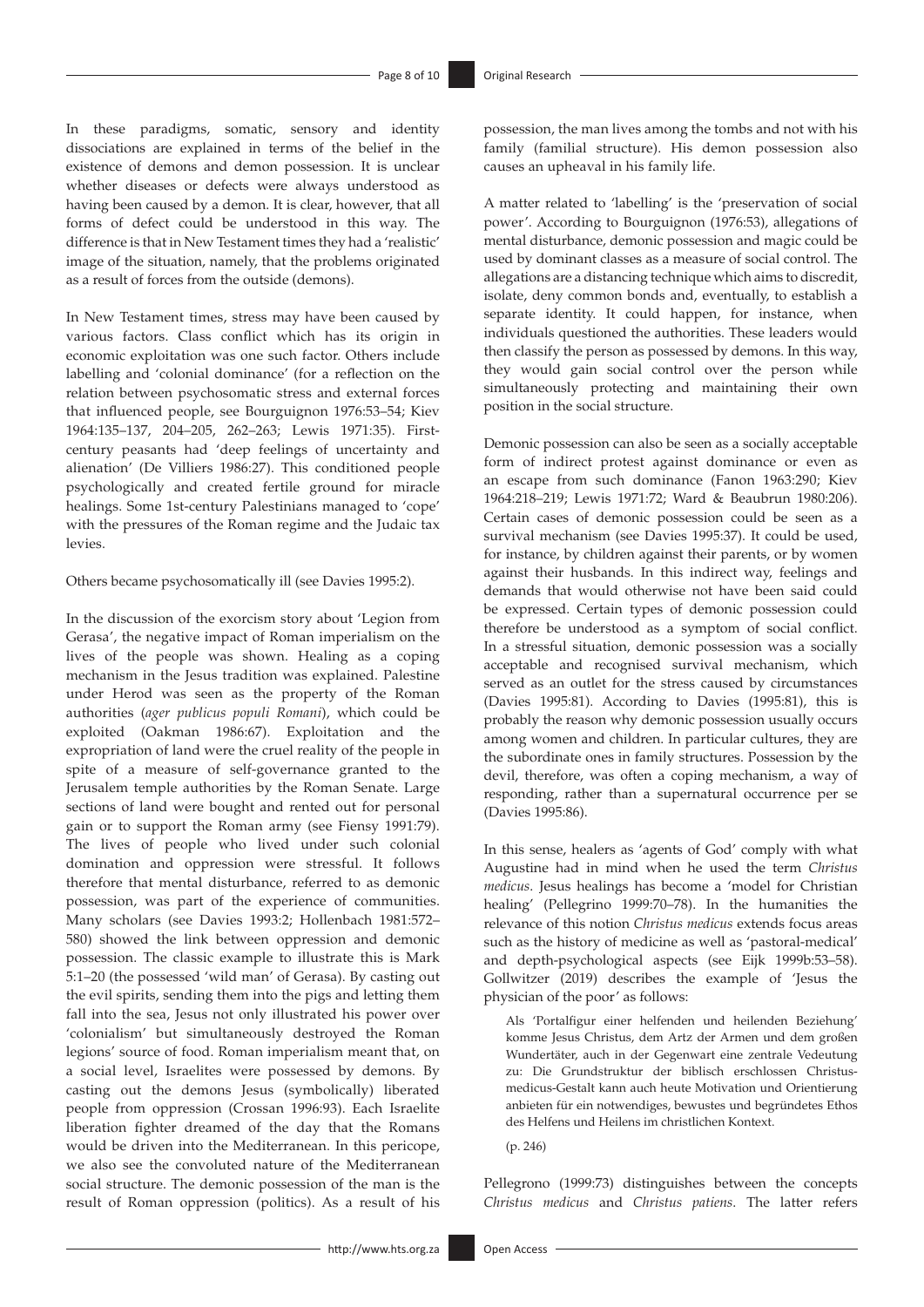In these paradigms, somatic, sensory and identity dissociations are explained in terms of the belief in the existence of demons and demon possession. It is unclear whether diseases or defects were always understood as having been caused by a demon. It is clear, however, that all forms of defect could be understood in this way. The difference is that in New Testament times they had a 'realistic' image of the situation, namely, that the problems originated as a result of forces from the outside (demons).

In New Testament times, stress may have been caused by various factors. Class conflict which has its origin in economic exploitation was one such factor. Others include labelling and 'colonial dominance' (for a reflection on the relation between psychosomatic stress and external forces that influenced people, see Bourguignon 1976:53–54; Kiev 1964:135–137, 204–205, 262–263; Lewis 1971:35). Firstcentury peasants had 'deep feelings of uncertainty and alienation' (De Villiers 1986:27). This conditioned people psychologically and created fertile ground for miracle healings. Some 1st-century Palestinians managed to 'cope' with the pressures of the Roman regime and the Judaic tax levies.

Others became psychosomatically ill (see Davies 1995:2).

In the discussion of the exorcism story about 'Legion from Gerasa', the negative impact of Roman imperialism on the lives of the people was shown. Healing as a coping mechanism in the Jesus tradition was explained. Palestine under Herod was seen as the property of the Roman authorities (*ager publicus populi Romani*), which could be exploited (Oakman 1986:67). Exploitation and the expropriation of land were the cruel reality of the people in spite of a measure of self-governance granted to the Jerusalem temple authorities by the Roman Senate. Large sections of land were bought and rented out for personal gain or to support the Roman army (see Fiensy 1991:79). The lives of people who lived under such colonial domination and oppression were stressful. It follows therefore that mental disturbance, referred to as demonic possession, was part of the experience of communities. Many scholars (see Davies 1993:2; Hollenbach 1981:572– 580) showed the link between oppression and demonic possession. The classic example to illustrate this is Mark 5:1–20 (the possessed 'wild man' of Gerasa). By casting out the evil spirits, sending them into the pigs and letting them fall into the sea, Jesus not only illustrated his power over 'colonialism' but simultaneously destroyed the Roman legions' source of food. Roman imperialism meant that, on a social level, Israelites were possessed by demons. By casting out the demons Jesus (symbolically) liberated people from oppression (Crossan 1996:93). Each Israelite liberation fighter dreamed of the day that the Romans would be driven into the Mediterranean. In this pericope, we also see the convoluted nature of the Mediterranean social structure. The demonic possession of the man is the result of Roman oppression (politics). As a result of his

possession, the man lives among the tombs and not with his family (familial structure). His demon possession also causes an upheaval in his family life.

A matter related to 'labelling' is the 'preservation of social power'. According to Bourguignon (1976:53), allegations of mental disturbance, demonic possession and magic could be used by dominant classes as a measure of social control. The allegations are a distancing technique which aims to discredit, isolate, deny common bonds and, eventually, to establish a separate identity. It could happen, for instance, when individuals questioned the authorities. These leaders would then classify the person as possessed by demons. In this way, they would gain social control over the person while simultaneously protecting and maintaining their own position in the social structure.

Demonic possession can also be seen as a socially acceptable form of indirect protest against dominance or even as an escape from such dominance (Fanon 1963:290; Kiev 1964:218–219; Lewis 1971:72; Ward & Beaubrun 1980:206). Certain cases of demonic possession could be seen as a survival mechanism (see Davies 1995:37). It could be used, for instance, by children against their parents, or by women against their husbands. In this indirect way, feelings and demands that would otherwise not have been said could be expressed. Certain types of demonic possession could therefore be understood as a symptom of social conflict. In a stressful situation, demonic possession was a socially acceptable and recognised survival mechanism, which served as an outlet for the stress caused by circumstances (Davies 1995:81). According to Davies (1995:81), this is probably the reason why demonic possession usually occurs among women and children. In particular cultures, they are the subordinate ones in family structures. Possession by the devil, therefore, was often a coping mechanism, a way of responding, rather than a supernatural occurrence per se (Davies 1995:86).

In this sense, healers as 'agents of God' comply with what Augustine had in mind when he used the term *Christus medicus*. Jesus healings has become a 'model for Christian healing' (Pellegrino 1999:70–78). In the humanities the relevance of this notion *Christus medicus* extends focus areas such as the history of medicine as well as 'pastoral-medical' and depth-psychological aspects (see Eijk 1999b:53–58). Gollwitzer (2019) describes the example of 'Jesus the physician of the poor' as follows:

Als 'Portalfigur einer helfenden und heilenden Beziehung' komme Jesus Christus, dem Artz der Armen und dem großen Wundertäter, auch in der Gegenwart eine zentrale Vedeutung zu: Die Grundstruktur der biblisch erschlossen Christusmedicus-Gestalt kann auch heute Motivation und Orientierung anbieten für ein notwendiges, bewustes und begründetes Ethos des Helfens und Heilens im christlichen Kontext.

(p. 246)

Pellegrono (1999:73) distinguishes between the concepts *Christus medicus* and *Christus patiens*. The latter refers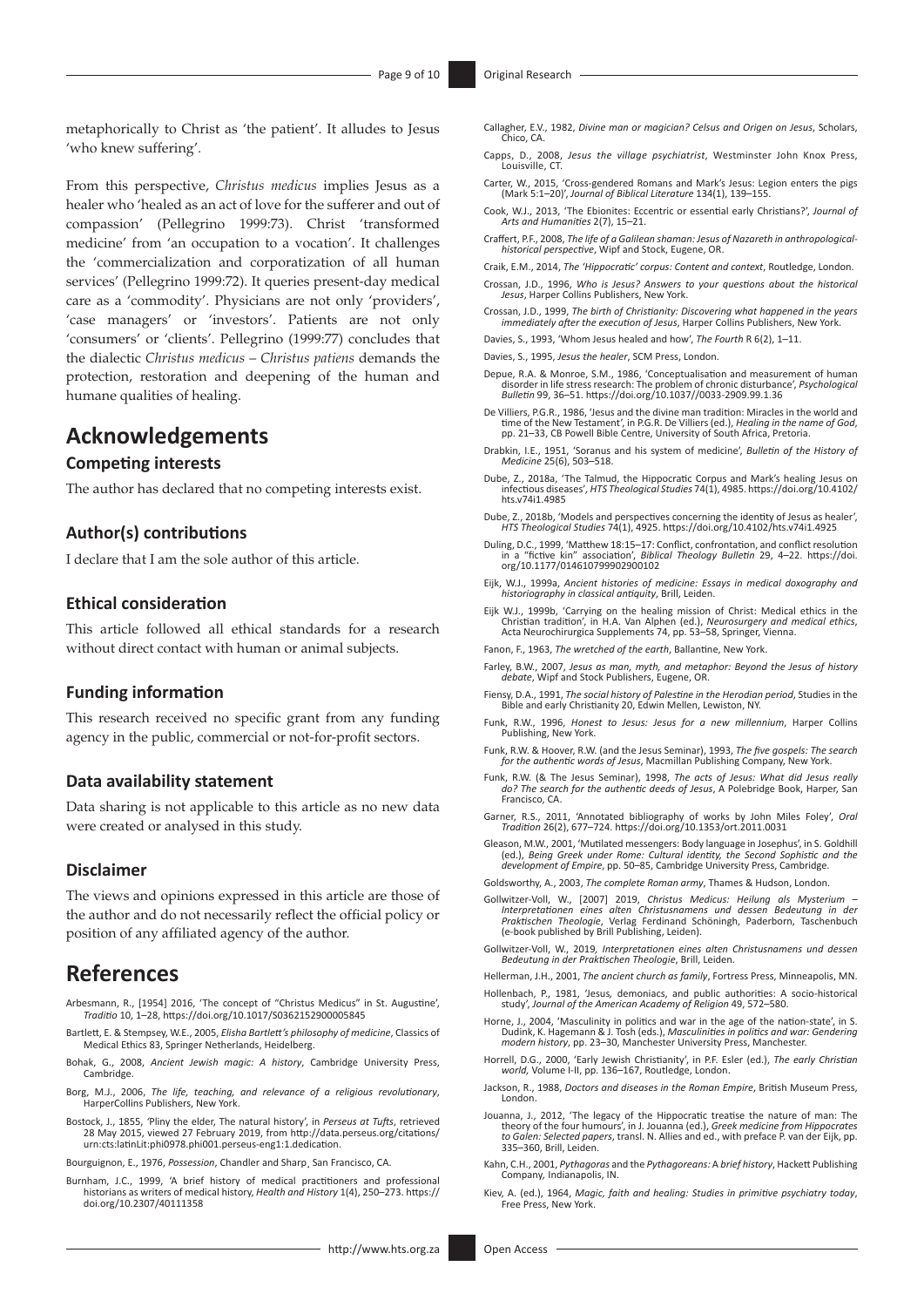metaphorically to Christ as 'the patient'. It alludes to Jesus 'who knew suffering'.

From this perspective, *Christus medicus* implies Jesus as a healer who 'healed as an act of love for the sufferer and out of compassion' (Pellegrino 1999:73). Christ 'transformed medicine' from 'an occupation to a vocation'. It challenges the 'commercialization and corporatization of all human services' (Pellegrino 1999:72). It queries present-day medical care as a 'commodity'. Physicians are not only 'providers', 'case managers' or 'investors'. Patients are not only 'consumers' or 'clients'. Pellegrino (1999:77) concludes that the dialectic *Christus medicus* – *Christus patiens* demands the protection, restoration and deepening of the human and humane qualities of healing.

### **Acknowledgements**

### **Competing interests**

The author has declared that no competing interests exist.

### **Author(s) contributions**

I declare that I am the sole author of this article.

### **Ethical consideration**

This article followed all ethical standards for a research without direct contact with human or animal subjects.

#### **Funding information**

This research received no specific grant from any funding agency in the public, commercial or not-for-profit sectors.

### **Data availability statement**

Data sharing is not applicable to this article as no new data were created or analysed in this study.

#### **Disclaimer**

The views and opinions expressed in this article are those of the author and do not necessarily reflect the official policy or position of any affiliated agency of the author.

### **References**

- Arbesmann, R., [1954] 2016, 'The concept of "Christus Medicus" in St. Augustine', *Traditio* 10, 1–28,<https://doi.org/10.1017/S0362152900005845>
- Bartlett, E. & Stempsey, W.E., 2005, *Elisha Bartlett's philosophy of medicine*, Classics of Medical Ethics 83, Springer Netherlands, Heidelberg.
- Bohak, G., 2008, *Ancient Jewish magic: A history*, Cambridge University Press, Cambridge.
- Borg, M.J., 2006, *The life, teaching, and relevance of a religious revolutionary*, HarperCollins Publishers, New York.
- Bostock, J., 1855, *'*Pliny the elder, The natural history', in *Perseus at Tufts*, retrieved 28 May 2015, viewed 27 February 2019, from [http://data.perseus.org/citations/](http://data.perseus.org/citations/urn:cts:latinLit:phi0978.phi001.perseus-eng1:1.dedication) [urn:cts:latinLit:phi0978.phi001.perseus-eng1:1.dedication](http://data.perseus.org/citations/urn:cts:latinLit:phi0978.phi001.perseus-eng1:1.dedication).
- Bourguignon, E., 1976, *Possession*, Chandler and Sharp¸ San Francisco, CA.
- Burnham, J.C., 1999, 'A brief history of medical practitioners and professional historians as writers of medical history, *Health and History* 1(4), 250–273. [https://](https://doi.org/10.2307/40111358) [doi.org/10.2307/40111358](https://doi.org/10.2307/40111358)
- Callagher, E.V., 1982, *Divine man or magician? Celsus and Origen on Jesus*, Scholars, Chico, CA.
- Capps, D., 2008, *Jesus the village psychiatrist*, Westminster John Knox Press, Louisville, CT.
- Carter, W., 2015, 'Cross-gendered Romans and Mark's Jesus: Legion enters the pigs (Mark 5:1–20)', *Journal of Biblical Literature* 134(1), 139–155.
- Cook, W.J., 2013, 'The Ebionites: Eccentric or essential early Christians?', *Journal of Arts and Humanities* 2(7), 15–21.
- Craffert, P.F., 2008, *The life of a Galilean shaman: Jesus of Nazareth in anthropologicalhistorical perspective*, Wipf and Stock, Eugene, OR.
- Craik, E.M., 2014, *The 'Hippocratic' corpus: Content and context*, Routledge, London.
- Crossan, J.D., 1996, *Who is Jesus? Answers to your questions about the historical Jesus*, Harper Collins Publishers, New York.
- Crossan, J.D., 1999, *The birth of Christianity: Discovering what happened in the years immediately after the execution of Jesus*, Harper Collins Publishers, New York.
- Davies, S., 1993, 'Whom Jesus healed and how', *The Fourth* R 6(2), 1–11.
- Davies, S., 1995, *Jesus the healer*, SCM Press, London.
- Depue, R.A. & Monroe, S.M., 1986, 'Conceptualisation and measurement of human disorder in life stress research: The problem of chronic disturbance', *Psychological Bulletin* 99, 36–51. <https://doi.org/10.1037//0033-2909.99.1.36>
- De Villiers, P.G.R., 1986, 'Jesus and the divine man tradition: Miracles in the world and time of the New Testament', in P.G.R. De Villiers (ed.), *Healing in the name of God*, pp. 21-33, CB Powell Bible Centre, University of South Africa, Pretoria.
- Drabkin, I.E., 1951, 'Soranus and his system of medicine', *Bulletin of the History of Medicine* 25(6), 503–518.
- Dube, Z., 2018a, 'The Talmud, the Hippocratic Corpus and Mark's healing Jesus on infectious diseases'*, HTS Theological Studies* 74(1), 4985. [https://doi.org/10.4102/](https://doi.org/10.4102/hts.v74i1.4985) [hts.v74i1.4985](https://doi.org/10.4102/hts.v74i1.4985)
- Dube, Z., 2018b, 'Models and perspectives concerning the identity of Jesus as healer', *HTS Theological Studies* 74(1), 4925.<https://doi.org/10.4102/hts.v74i1.4925>
- Duling, D.C., 1999, 'Matthew 18:15–17: Conflict, confrontation, and conflict resolution in a "fictive kin" association', *Biblical Theology Bulletin* 29, 4–22. [https://doi.](https://doi.org/10.1177/014610799902900102) [org/10.1177/014610799902900102](https://doi.org/10.1177/014610799902900102)
- Eijk, W.J., 1999a, *Ancient histories of medicine: Essays in medical doxography and historiography in classical antiquity*, Brill, Leiden.
- Eijk W.J., 1999b, 'Carrying on the healing mission of Christ: Medical ethics in the Christian tradition', in H.A. Van Alphen (ed.), *Neurosurgery and medical ethics*, Acta Neurochirurgica Supplements 74, pp. 53–58, Springer, Vienna.
- Fanon, F., 1963, *The wretched of the earth*, Ballantine, New York.
- Farley, B.W., 2007, *Jesus as man, myth, and metaphor: Beyond the Jesus of history debate*, Wipf and Stock Publishers, Eugene, OR.
- Fiensy, D.A., 1991, *The social history of Palestine in the Herodian period*, Studies in the Bible and early Christianity 20, Edwin Mellen, Lewiston, NY.
- Funk, R.W., 1996, *Honest to Jesus: Jesus for a new millennium*, Harper Collins Publishing, New York.
- Funk, R.W. & Hoover, R.W. (and the Jesus Seminar), 1993, *The five gospels: The search for the authentic words of Jesus*, Macmillan Publishing Company, New York.
- Funk, R.W. (& The Jesus Seminar), 1998, *The acts of Jesus: What did Jesus really do? The search for the authentic deeds of Jesus*, A Polebridge Book, Harper, San Francisco, CA.
- Garner, R.S., 2011, 'Annotated bibliography of works by John Miles Foley', *Oral Tradition* 26(2), 677–724.<https://doi.org/10.1353/ort.2011.0031>
- Gleason, M.W., 2001, 'Mutilated messengers: Body language in Josephus', in S. Goldhill (ed.), *Being Greek under Rome: Cultural identity, the Second Sophistic and the development of Empire*, pp. 50–85, Cambridge University Press, Cambridge.
- Goldsworthy, A., 2003, *The complete Roman army*, Thames & Hudson, London.
- Gollwitzer-Voll, W., [2007] 2019, Christus Medicus: Heilung als Mysterium -<br>Interpretationen eines alten Christusnamens und dessen Bedeutung in der<br>Praktischen Theologie, Verlag Ferdinand Schöningh, Paderborn, Taschenbuch (e-book published by Brill Publishing, Leiden).
- Gollwitzer-Voll, W., 2019*, Interpretationen eines alten Christusnamens und dessen Bedeutung in der Praktischen Theologie*, Brill, Leiden.
- Hellerman, J.H., 2001, *The ancient church as family*, Fortress Press, Minneapolis, MN. Hollenbach, P., 1981, 'Jesus*,* demoniacs, and public authorities: A socio*-*historical
- study', *Journal of the American Academy of Religion* 49, 572–580. Horne, J., 2004, 'Masculinity in politics and war in the age of the nation-state', in S. Dudink, K. Hagemann & J. Tosh (eds.), *Masculinities in politics and war: Gendering modern history*, pp. 23–30, Manchester University Press, Manchester.
- Horrell, D.G., 2000, 'Early Jewish Christianity', in P.F. Esler (ed.), *The early Christian world,* Volume I-II, pp. 136–167, Routledge, London.
- Jackson, R., 1988, *Doctors and diseases in the Roman Empire*, British Museum Press, London.
- Jouanna, J., 2012, 'The legacy of the Hippocratic treatise the nature of man: The<br>theory of the four humours', in J. Jouanna (ed.), Greek medicine from Hippocrates<br>to Galen: Selected papers, transl. N. Allies and ed., with 335–360, Brill, Leiden.
- Kahn, C.H., 2001, *Pythagoras* and the *Pythagoreans:* A *brief history*, Hackett Publishing Company*,* Indianapolis, IN.
- Kiev, A. (ed.), 1964, *Magic, faith and healing: Studies in primitive psychiatry today*, Free Press, New York.